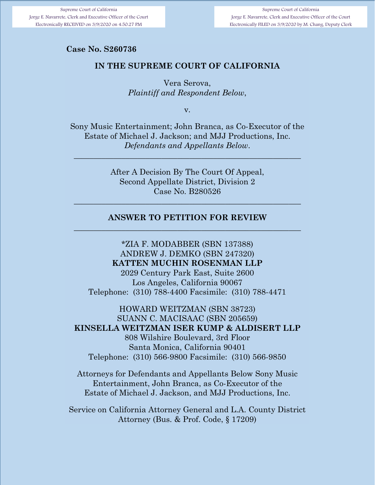Supreme Court of California Jorge E. Navarrete, Clerk and Executive Officer of the Court Electronically FILED on 3/9/2020 by M. Chang, Deputy Clerk

#### **Case No. S**

#### **IN THE SUPREME COURT OF CALIFORNIA**

Vera Serova, *Plaintiff and Respondent Below*,

v.

Sony Music Entertainment; John Branca, as Co-Executor of the Estate of Michael J. Jackson; and MJJ Productions, Inc. *Defendants and Appellants Below*.

\_\_\_\_\_\_\_\_\_\_\_\_\_\_\_\_\_\_\_\_\_\_\_\_\_\_\_\_\_\_\_\_\_\_\_\_\_\_\_\_\_\_\_\_\_\_\_\_\_\_\_\_\_\_\_\_\_

After A Decision By The Court Of Appeal, Second Appellate District, Division 2 Case No. B280526

#### **ANSWER TO PETITION FOR REVIEW**  \_\_\_\_\_\_\_\_\_\_\_\_\_\_\_\_\_\_\_\_\_\_\_\_\_\_\_\_\_\_\_\_\_\_\_\_\_\_\_\_\_\_\_\_\_\_\_\_\_\_\_\_\_\_\_\_\_

\_\_\_\_\_\_\_\_\_\_\_\_\_\_\_\_\_\_\_\_\_\_\_\_\_\_\_\_\_\_\_\_\_\_\_\_\_\_\_\_\_\_\_\_\_\_\_\_\_\_\_\_\_\_\_\_\_

\*ZIA F. MODABBER (SBN 137388) ANDREW J. DEMKO (SBN 247320) **KATTEN MUCHIN ROSENMAN LLP** 

2029 Century Park East, Suite 2600 Los Angeles, California 90067 Telephone: (310) 788-4400 Facsimile: (310) 788-4471

HOWARD WEITZMAN (SBN 38723) SUANN C. MACISAAC (SBN 205659) **KINSELLA WEITZMAN ISER KUMP & ALDISERT LLP**  808 Wilshire Boulevard, 3rd Floor Santa Monica, California 90401 Telephone: (310) 566-9800 Facsimile: (310) 566-9850

Attorneys for Defendants and Appellants Below Sony Music Entertainment, John Branca, as Co-Executor of the Estate of Michael J. Jackson, and MJJ Productions, Inc.

Service on California Attorney General and L.A. County District Attorney (Bus. & Prof. Code, § 17209)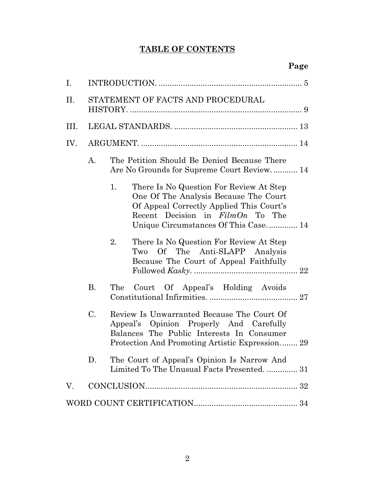# **TABLE OF CONTENTS**

| Ι.   |                                   |                                                                                                                                                                                                                  |  |  |  |  |
|------|-----------------------------------|------------------------------------------------------------------------------------------------------------------------------------------------------------------------------------------------------------------|--|--|--|--|
| П.   | STATEMENT OF FACTS AND PROCEDURAL |                                                                                                                                                                                                                  |  |  |  |  |
| III. |                                   |                                                                                                                                                                                                                  |  |  |  |  |
| IV.  |                                   |                                                                                                                                                                                                                  |  |  |  |  |
|      | A.                                | The Petition Should Be Denied Because There<br>Are No Grounds for Supreme Court Review 14                                                                                                                        |  |  |  |  |
|      |                                   | 1.<br>There Is No Question For Review At Step<br>One Of The Analysis Because The Court<br>Of Appeal Correctly Applied This Court's<br>Recent Decision in $FilmOn$ To The<br>Unique Circumstances Of This Case 14 |  |  |  |  |
|      |                                   | 2.<br>There Is No Question For Review At Step<br>Of The Anti-SLAPP Analysis<br>Two<br>Because The Court of Appeal Faithfully                                                                                     |  |  |  |  |
|      | <b>B.</b>                         | Court Of Appeal's Holding Avoids<br>The                                                                                                                                                                          |  |  |  |  |
|      | C.                                | Review Is Unwarranted Because The Court Of<br>Appeal's Opinion Properly And Carefully<br>Balances The Public Interests In Consumer<br>Protection And Promoting Artistic Expression 29                            |  |  |  |  |
|      | D.                                | The Court of Appeal's Opinion Is Narrow And<br>Limited To The Unusual Facts Presented.  31                                                                                                                       |  |  |  |  |
| V.   |                                   |                                                                                                                                                                                                                  |  |  |  |  |
|      |                                   |                                                                                                                                                                                                                  |  |  |  |  |
|      |                                   |                                                                                                                                                                                                                  |  |  |  |  |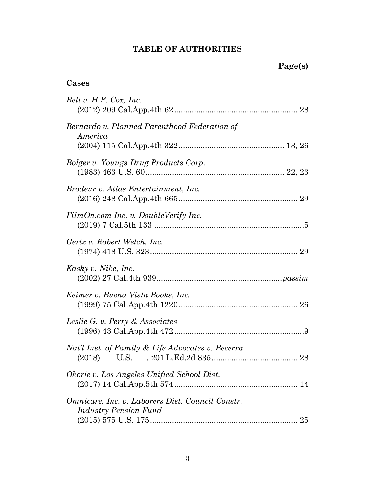# **TABLE OF AUTHORITIES**

# **Cases**

| Bell v. H.F. Cox, Inc.                                                                 |
|----------------------------------------------------------------------------------------|
| Bernardo v. Planned Parenthood Federation of<br>America                                |
| Bolger v. Youngs Drug Products Corp.                                                   |
| <i>Brodeur v. Atlas Entertainment, Inc.</i>                                            |
| FilmOn.com Inc. v. DoubleVerify Inc.                                                   |
| Gertz v. Robert Welch, Inc.                                                            |
| Kasky v. Nike, Inc.                                                                    |
| Keimer v. Buena Vista Books, Inc.                                                      |
| Leslie G. v. Perry & Associates                                                        |
| Nat'l Inst. of Family & Life Advocates v. Becerra                                      |
| Okorie v. Los Angeles Unified School Dist.                                             |
| Omnicare, Inc. v. Laborers Dist. Council Constr.<br><b>Industry Pension Fund</b><br>25 |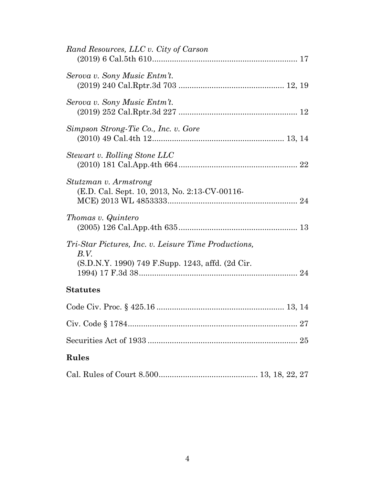| Rand Resources, LLC v. City of Carson                                                                            |
|------------------------------------------------------------------------------------------------------------------|
| Serova v. Sony Music Entm't.                                                                                     |
| Serova v. Sony Music Entm't.                                                                                     |
| Simpson Strong-Tie Co., Inc. v. Gore                                                                             |
| Stewart v. Rolling Stone LLC                                                                                     |
| Stutzman v. Armstrong<br>(E.D. Cal. Sept. 10, 2013, No. 2:13-CV-00116-                                           |
| Thomas v. Quintero                                                                                               |
| Tri-Star Pictures, Inc. v. Leisure Time Productions,<br>B.V.<br>(S.D.N.Y. 1990) 749 F.Supp. 1243, affd. (2d Cir. |
| <b>Statutes</b>                                                                                                  |
|                                                                                                                  |
|                                                                                                                  |
|                                                                                                                  |
| <b>Rules</b>                                                                                                     |
|                                                                                                                  |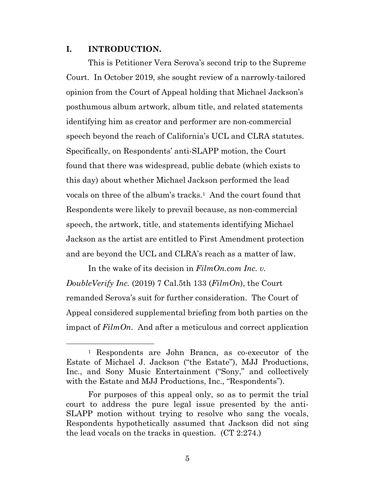#### **I. INTRODUCTION.**

This is Petitioner Vera Serova's second trip to the Supreme Court. In October 2019, she sought review of a narrowly-tailored opinion from the Court of Appeal holding that Michael Jackson's posthumous album artwork, album title, and related statements identifying him as creator and performer are non-commercial speech beyond the reach of California's UCL and CLRA statutes. Specifically, on Respondents' anti-SLAPP motion, the Court found that there was widespread, public debate (which exists to this day) about whether Michael Jackson performed the lead vocals on three of the album's tracks.<sup>1</sup> And the court found that Respondents were likely to prevail because, as non-commercial speech, the artwork, title, and statements identifying Michael Jackson as the artist are entitled to First Amendment protection and are beyond the UCL and CLRA's reach as a matter of law.

In the wake of its decision in *FilmOn.com Inc. v. DoubleVerify Inc.* (2019) 7 Cal.5th 133 (*FilmOn*), the Court remanded Serova's suit for further consideration. The Court of Appeal considered supplemental briefing from both parties on the impact of *FilmOn*. And after a meticulous and correct application

<sup>1</sup> Respondents are John Branca, as co-executor of the Estate of Michael J. Jackson ("the Estate"), MJJ Productions, Inc., and Sony Music Entertainment ("Sony," and collectively with the Estate and MJJ Productions, Inc., "Respondents").

For purposes of this appeal only, so as to permit the trial court to address the pure legal issue presented by the anti-SLAPP motion without trying to resolve who sang the vocals, Respondents hypothetically assumed that Jackson did not sing the lead vocals on the tracks in question. (CT 2:274.)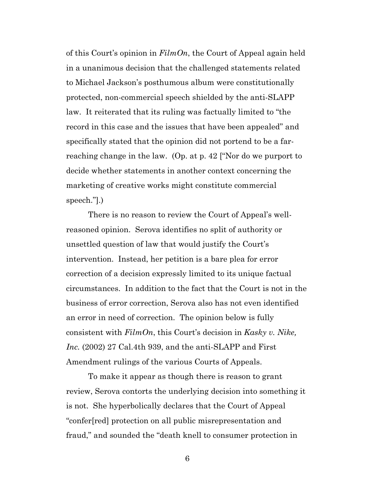of this Court's opinion in *FilmOn*, the Court of Appeal again held in a unanimous decision that the challenged statements related to Michael Jackson's posthumous album were constitutionally protected, non-commercial speech shielded by the anti-SLAPP law. It reiterated that its ruling was factually limited to "the record in this case and the issues that have been appealed" and specifically stated that the opinion did not portend to be a farreaching change in the law. (Op. at p. 42 ["Nor do we purport to decide whether statements in another context concerning the marketing of creative works might constitute commercial speech."].)

There is no reason to review the Court of Appeal's wellreasoned opinion. Serova identifies no split of authority or unsettled question of law that would justify the Court's intervention. Instead, her petition is a bare plea for error correction of a decision expressly limited to its unique factual circumstances. In addition to the fact that the Court is not in the business of error correction, Serova also has not even identified an error in need of correction. The opinion below is fully consistent with *FilmOn*, this Court's decision in *Kasky v. Nike, Inc.* (2002) 27 Cal.4th 939, and the anti-SLAPP and First Amendment rulings of the various Courts of Appeals.

To make it appear as though there is reason to grant review, Serova contorts the underlying decision into something it is not. She hyperbolically declares that the Court of Appeal "confer[red] protection on all public misrepresentation and fraud," and sounded the "death knell to consumer protection in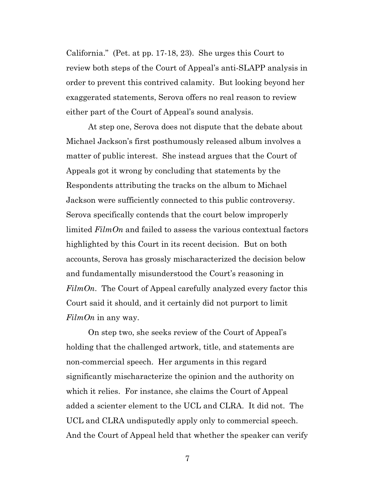California." (Pet. at pp. 17-18, 23). She urges this Court to review both steps of the Court of Appeal's anti-SLAPP analysis in order to prevent this contrived calamity. But looking beyond her exaggerated statements, Serova offers no real reason to review either part of the Court of Appeal's sound analysis.

At step one, Serova does not dispute that the debate about Michael Jackson's first posthumously released album involves a matter of public interest. She instead argues that the Court of Appeals got it wrong by concluding that statements by the Respondents attributing the tracks on the album to Michael Jackson were sufficiently connected to this public controversy. Serova specifically contends that the court below improperly limited *FilmOn* and failed to assess the various contextual factors highlighted by this Court in its recent decision. But on both accounts, Serova has grossly mischaracterized the decision below and fundamentally misunderstood the Court's reasoning in *FilmOn*. The Court of Appeal carefully analyzed every factor this Court said it should, and it certainly did not purport to limit *FilmOn* in any way.

On step two, she seeks review of the Court of Appeal's holding that the challenged artwork, title, and statements are non-commercial speech. Her arguments in this regard significantly mischaracterize the opinion and the authority on which it relies. For instance, she claims the Court of Appeal added a scienter element to the UCL and CLRA. It did not. The UCL and CLRA undisputedly apply only to commercial speech. And the Court of Appeal held that whether the speaker can verify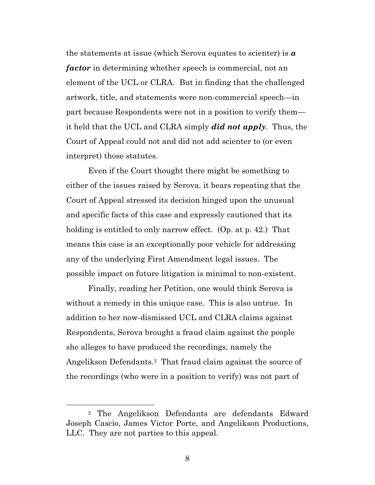the statements at issue (which Serova equates to scienter) is *a factor* in determining whether speech is commercial, not an element of the UCL or CLRA. But in finding that the challenged artwork, title, and statements were non-commercial speech—in part because Respondents were not in a position to verify them it held that the UCL and CLRA simply *did not apply*. Thus, the Court of Appeal could not and did not add scienter to (or even interpret) those statutes.

Even if the Court thought there might be something to either of the issues raised by Serova, it bears repeating that the Court of Appeal stressed its decision hinged upon the unusual and specific facts of this case and expressly cautioned that its holding is entitled to only narrow effect. (Op. at p. 42.) That means this case is an exceptionally poor vehicle for addressing any of the underlying First Amendment legal issues. The possible impact on future litigation is minimal to non-existent.

Finally, reading her Petition, one would think Serova is without a remedy in this unique case. This is also untrue. In addition to her now-dismissed UCL and CLRA claims against Respondents, Serova brought a fraud claim against the people she alleges to have produced the recordings, namely the Angelikson Defendants.2 That fraud claim against the source of the recordings (who were in a position to verify) was not part of

<sup>2</sup> The Angelikson Defendants are defendants Edward Joseph Cascio, James Victor Porte, and Angelikson Productions, LLC. They are not parties to this appeal.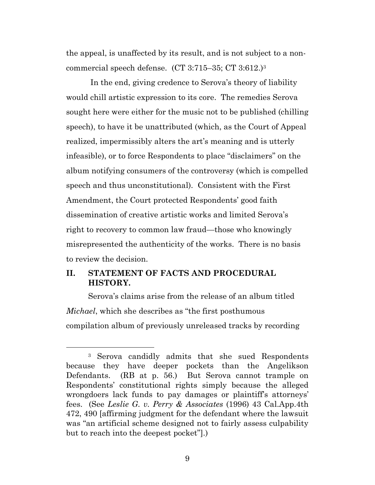the appeal, is unaffected by its result, and is not subject to a noncommercial speech defense. (CT 3:715–35; CT 3:612.)<sup>3</sup>

 In the end, giving credence to Serova's theory of liability would chill artistic expression to its core. The remedies Serova sought here were either for the music not to be published (chilling speech), to have it be unattributed (which, as the Court of Appeal realized, impermissibly alters the art's meaning and is utterly infeasible), or to force Respondents to place "disclaimers" on the album notifying consumers of the controversy (which is compelled speech and thus unconstitutional). Consistent with the First Amendment, the Court protected Respondents' good faith dissemination of creative artistic works and limited Serova's right to recovery to common law fraud—those who knowingly misrepresented the authenticity of the works. There is no basis to review the decision.

# **II. STATEMENT OF FACTS AND PROCEDURAL HISTORY.**

Serova's claims arise from the release of an album titled *Michael*, which she describes as "the first posthumous compilation album of previously unreleased tracks by recording

<sup>3</sup> Serova candidly admits that she sued Respondents because they have deeper pockets than the Angelikson Defendants. (RB at p. 56.) But Serova cannot trample on Respondents' constitutional rights simply because the alleged wrongdoers lack funds to pay damages or plaintiff's attorneys' fees. (See *Leslie G. v. Perry & Associates* (1996) 43 Cal.App.4th 472, 490 [affirming judgment for the defendant where the lawsuit was "an artificial scheme designed not to fairly assess culpability but to reach into the deepest pocket"].)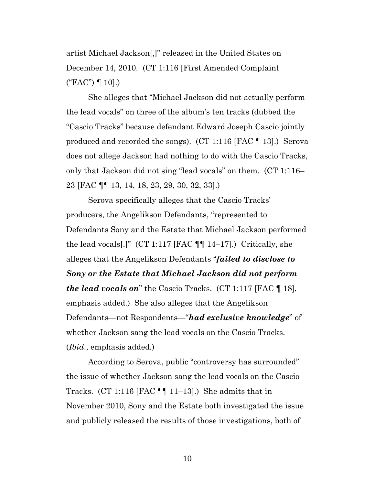artist Michael Jackson[,]" released in the United States on December 14, 2010. (CT 1:116 [First Amended Complaint ("FAC") ¶ 10].)

She alleges that "Michael Jackson did not actually perform the lead vocals" on three of the album's ten tracks (dubbed the "Cascio Tracks" because defendant Edward Joseph Cascio jointly produced and recorded the songs). (CT 1:116 [FAC ¶ 13].) Serova does not allege Jackson had nothing to do with the Cascio Tracks, only that Jackson did not sing "lead vocals" on them. (CT 1:116– 23 [FAC ¶¶ 13, 14, 18, 23, 29, 30, 32, 33].)

Serova specifically alleges that the Cascio Tracks' producers, the Angelikson Defendants, "represented to Defendants Sony and the Estate that Michael Jackson performed the lead vocals[.]" (CT 1:117 [FAC  $\P\P$  14–17].) Critically, she alleges that the Angelikson Defendants "*failed to disclose to Sony or the Estate that Michael Jackson did not perform the lead vocals on*" the Cascio Tracks. (CT 1:117 [FAC ¶ 18], emphasis added.) She also alleges that the Angelikson Defendants—not Respondents—"*had exclusive knowledge*" of whether Jackson sang the lead vocals on the Cascio Tracks. (*Ibid*., emphasis added.)

According to Serova, public "controversy has surrounded" the issue of whether Jackson sang the lead vocals on the Cascio Tracks. (CT 1:116 [FAC  $\P\P$  11–13].) She admits that in November 2010, Sony and the Estate both investigated the issue and publicly released the results of those investigations, both of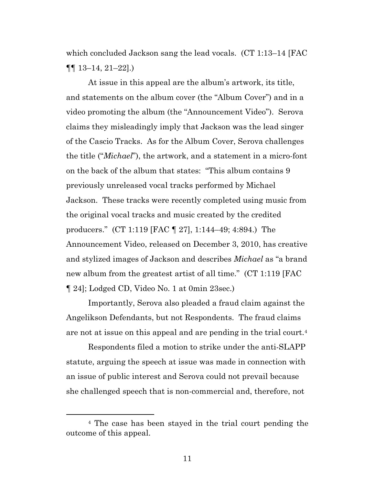which concluded Jackson sang the lead vocals. (CT 1:13–14 [FAC  $\P\P$  13–14, 21–22].)

At issue in this appeal are the album's artwork, its title, and statements on the album cover (the "Album Cover") and in a video promoting the album (the "Announcement Video"). Serova claims they misleadingly imply that Jackson was the lead singer of the Cascio Tracks. As for the Album Cover, Serova challenges the title ("*Michael*"), the artwork, and a statement in a micro-font on the back of the album that states: "This album contains 9 previously unreleased vocal tracks performed by Michael Jackson. These tracks were recently completed using music from the original vocal tracks and music created by the credited producers." (CT 1:119 [FAC ¶ 27], 1:144–49; 4:894.) The Announcement Video, released on December 3, 2010, has creative and stylized images of Jackson and describes *Michael* as "a brand new album from the greatest artist of all time." (CT 1:119 [FAC ¶ 24]; Lodged CD, Video No. 1 at 0min 23sec.)

Importantly, Serova also pleaded a fraud claim against the Angelikson Defendants, but not Respondents. The fraud claims are not at issue on this appeal and are pending in the trial court.<sup>4</sup>

Respondents filed a motion to strike under the anti-SLAPP statute, arguing the speech at issue was made in connection with an issue of public interest and Serova could not prevail because she challenged speech that is non-commercial and, therefore, not

<sup>4</sup> The case has been stayed in the trial court pending the outcome of this appeal.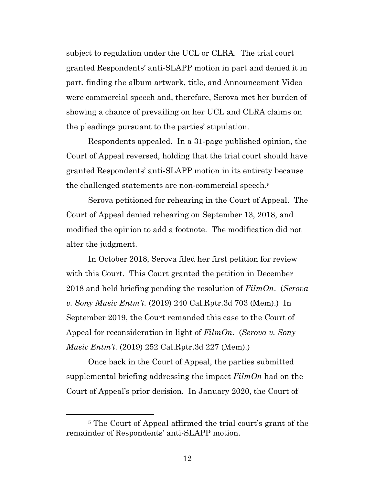subject to regulation under the UCL or CLRA. The trial court granted Respondents' anti-SLAPP motion in part and denied it in part, finding the album artwork, title, and Announcement Video were commercial speech and, therefore, Serova met her burden of showing a chance of prevailing on her UCL and CLRA claims on the pleadings pursuant to the parties' stipulation.

Respondents appealed. In a 31-page published opinion, the Court of Appeal reversed, holding that the trial court should have granted Respondents' anti-SLAPP motion in its entirety because the challenged statements are non-commercial speech.<sup>5</sup>

Serova petitioned for rehearing in the Court of Appeal. The Court of Appeal denied rehearing on September 13, 2018, and modified the opinion to add a footnote. The modification did not alter the judgment.

In October 2018, Serova filed her first petition for review with this Court. This Court granted the petition in December 2018 and held briefing pending the resolution of *FilmOn*. (*Serova v. Sony Music Entm't.* (2019) 240 Cal.Rptr.3d 703 (Mem).) In September 2019, the Court remanded this case to the Court of Appeal for reconsideration in light of *FilmOn*. (*Serova v. Sony Music Entm't.* (2019) 252 Cal.Rptr.3d 227 (Mem).)

Once back in the Court of Appeal, the parties submitted supplemental briefing addressing the impact *FilmOn* had on the Court of Appeal's prior decision. In January 2020, the Court of

<sup>5</sup> The Court of Appeal affirmed the trial court's grant of the remainder of Respondents' anti-SLAPP motion.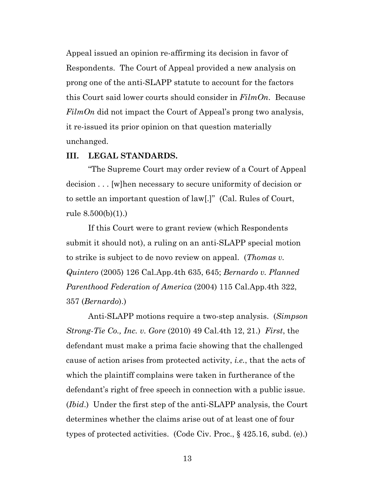Appeal issued an opinion re-affirming its decision in favor of Respondents. The Court of Appeal provided a new analysis on prong one of the anti-SLAPP statute to account for the factors this Court said lower courts should consider in *FilmOn*. Because *FilmOn* did not impact the Court of Appeal's prong two analysis, it re-issued its prior opinion on that question materially unchanged.

#### **III. LEGAL STANDARDS.**

"The Supreme Court may order review of a Court of Appeal decision . . . [w]hen necessary to secure uniformity of decision or to settle an important question of law[.]" (Cal. Rules of Court, rule 8.500(b)(1).)

If this Court were to grant review (which Respondents submit it should not), a ruling on an anti-SLAPP special motion to strike is subject to de novo review on appeal. (*Thomas v. Quintero* (2005) 126 Cal.App.4th 635, 645; *Bernardo v. Planned Parenthood Federation of America* (2004) 115 Cal.App.4th 322, 357 (*Bernardo*).)

Anti-SLAPP motions require a two-step analysis. (*Simpson Strong-Tie Co., Inc. v. Gore* (2010) 49 Cal.4th 12, 21.) *First*, the defendant must make a prima facie showing that the challenged cause of action arises from protected activity, *i.e.*, that the acts of which the plaintiff complains were taken in furtherance of the defendant's right of free speech in connection with a public issue. (*Ibid*.) Under the first step of the anti-SLAPP analysis, the Court determines whether the claims arise out of at least one of four types of protected activities. (Code Civ. Proc., § 425.16, subd. (e).)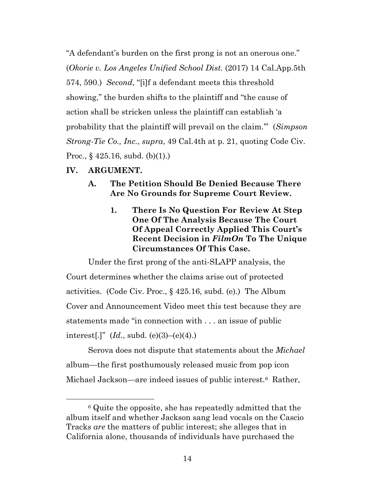"A defendant's burden on the first prong is not an onerous one." (*Okorie v. Los Angeles Unified School Dist.* (2017) 14 Cal.App.5th 574, 590.) *Second*, "[i]f a defendant meets this threshold showing," the burden shifts to the plaintiff and "the cause of action shall be stricken unless the plaintiff can establish 'a probability that the plaintiff will prevail on the claim.'" (*Simpson Strong-Tie Co., Inc.*, *supra*, 49 Cal.4th at p. 21, quoting Code Civ. Proc.,  $\S$  425.16, subd. (b)(1).)

### **IV. ARGUMENT.**

- **A. The Petition Should Be Denied Because There Are No Grounds for Supreme Court Review.** 
	- **1. There Is No Question For Review At Step One Of The Analysis Because The Court Of Appeal Correctly Applied This Court's Recent Decision in** *FilmOn* **To The Unique Circumstances Of This Case.**

Under the first prong of the anti-SLAPP analysis, the Court determines whether the claims arise out of protected activities. (Code Civ. Proc., § 425.16, subd. (e).) The Album Cover and Announcement Video meet this test because they are statements made "in connection with . . . an issue of public interest[.]"  $(Id., subd. (e)(3)–(e)(4).)$ 

Serova does not dispute that statements about the *Michael* album—the first posthumously released music from pop icon Michael Jackson—are indeed issues of public interest.<sup>6</sup> Rather,

<sup>6</sup> Quite the opposite, she has repeatedly admitted that the album itself and whether Jackson sang lead vocals on the Cascio Tracks *are* the matters of public interest; she alleges that in California alone, thousands of individuals have purchased the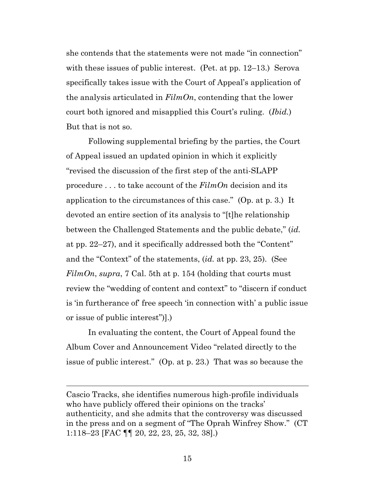she contends that the statements were not made "in connection" with these issues of public interest. (Pet. at pp. 12–13.) Serova specifically takes issue with the Court of Appeal's application of the analysis articulated in *FilmOn*, contending that the lower court both ignored and misapplied this Court's ruling. (*Ibid.*) But that is not so.

Following supplemental briefing by the parties, the Court of Appeal issued an updated opinion in which it explicitly "revised the discussion of the first step of the anti-SLAPP procedure . . . to take account of the *FilmOn* decision and its application to the circumstances of this case." (Op. at p. 3.) It devoted an entire section of its analysis to "[t]he relationship between the Challenged Statements and the public debate," (*id.* at pp. 22–27), and it specifically addressed both the "Content" and the "Context" of the statements, (*id.* at pp. 23, 25). (See *FilmOn*, *supra*, 7 Cal. 5th at p. 154 (holding that courts must review the "wedding of content and context" to "discern if conduct is 'in furtherance of' free speech 'in connection with' a public issue or issue of public interest")].)

In evaluating the content, the Court of Appeal found the Album Cover and Announcement Video "related directly to the issue of public interest." (Op. at p. 23.) That was so because the

Cascio Tracks, she identifies numerous high-profile individuals who have publicly offered their opinions on the tracks' authenticity, and she admits that the controversy was discussed in the press and on a segment of "The Oprah Winfrey Show." (CT 1:118–23 [FAC ¶¶ 20, 22, 23, 25, 32, 38].)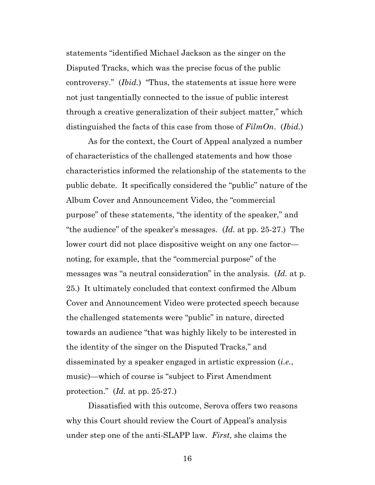statements "identified Michael Jackson as the singer on the Disputed Tracks, which was the precise focus of the public controversy." (*Ibid.*) "Thus, the statements at issue here were not just tangentially connected to the issue of public interest through a creative generalization of their subject matter," which distinguished the facts of this case from those of *FilmOn*. (*Ibid.*)

As for the context, the Court of Appeal analyzed a number of characteristics of the challenged statements and how those characteristics informed the relationship of the statements to the public debate. It specifically considered the "public" nature of the Album Cover and Announcement Video, the "commercial purpose" of these statements, "the identity of the speaker," and "the audience" of the speaker's messages. (*Id.* at pp. 25-27.) The lower court did not place dispositive weight on any one factor noting, for example, that the "commercial purpose" of the messages was "a neutral consideration" in the analysis. (*Id.* at p. 25.) It ultimately concluded that context confirmed the Album Cover and Announcement Video were protected speech because the challenged statements were "public" in nature, directed towards an audience "that was highly likely to be interested in the identity of the singer on the Disputed Tracks," and disseminated by a speaker engaged in artistic expression (*i.e.*, music)—which of course is "subject to First Amendment protection." (*Id.* at pp. 25-27.)

Dissatisfied with this outcome, Serova offers two reasons why this Court should review the Court of Appeal's analysis under step one of the anti-SLAPP law. *First*, she claims the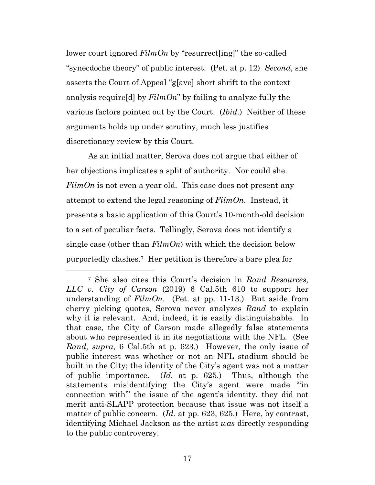lower court ignored *FilmOn* by "resurrect[ing]" the so-called "synecdoche theory" of public interest. (Pet. at p. 12) *Second*, she asserts the Court of Appeal "g[ave] short shrift to the context analysis require[d] by *FilmOn*" by failing to analyze fully the various factors pointed out by the Court. (*Ibid.*) Neither of these arguments holds up under scrutiny, much less justifies discretionary review by this Court.

As an initial matter, Serova does not argue that either of her objections implicates a split of authority. Nor could she. *FilmOn* is not even a year old. This case does not present any attempt to extend the legal reasoning of *FilmOn*. Instead, it presents a basic application of this Court's 10-month-old decision to a set of peculiar facts. Tellingly, Serova does not identify a single case (other than *FilmOn*) with which the decision below purportedly clashes.7 Her petition is therefore a bare plea for

<sup>7</sup> She also cites this Court's decision in *Rand Resources, LLC v. City of Carson* (2019) 6 Cal.5th 610 to support her understanding of *FilmOn*. (Pet. at pp. 11-13.) But aside from cherry picking quotes, Serova never analyzes *Rand* to explain why it is relevant. And, indeed, it is easily distinguishable. In that case, the City of Carson made allegedly false statements about who represented it in its negotiations with the NFL. (See *Rand, supra*, 6 Cal.5th at p. 623.) However, the only issue of public interest was whether or not an NFL stadium should be built in the City; the identity of the City's agent was not a matter of public importance. (*Id.* at p. 625.) Thus, although the statements misidentifying the City's agent were made "'in connection with'" the issue of the agent's identity, they did not merit anti-SLAPP protection because that issue was not itself a matter of public concern. (*Id.* at pp. 623, 625.) Here, by contrast, identifying Michael Jackson as the artist *was* directly responding to the public controversy.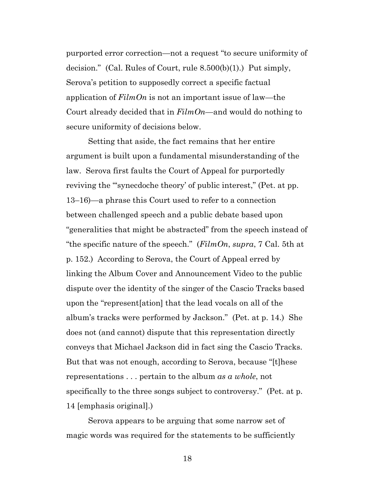purported error correction—not a request "to secure uniformity of decision." (Cal. Rules of Court, rule 8.500(b)(1).) Put simply, Serova's petition to supposedly correct a specific factual application of *FilmOn* is not an important issue of law—the Court already decided that in *FilmOn*—and would do nothing to secure uniformity of decisions below.

Setting that aside, the fact remains that her entire argument is built upon a fundamental misunderstanding of the law. Serova first faults the Court of Appeal for purportedly reviving the "synecdoche theory' of public interest," (Pet. at pp. 13–16)—a phrase this Court used to refer to a connection between challenged speech and a public debate based upon "generalities that might be abstracted" from the speech instead of "the specific nature of the speech." (*FilmOn*, *supra*, 7 Cal. 5th at p. 152.) According to Serova, the Court of Appeal erred by linking the Album Cover and Announcement Video to the public dispute over the identity of the singer of the Cascio Tracks based upon the "represent[ation] that the lead vocals on all of the album's tracks were performed by Jackson." (Pet. at p. 14.) She does not (and cannot) dispute that this representation directly conveys that Michael Jackson did in fact sing the Cascio Tracks. But that was not enough, according to Serova, because "[t]hese representations . . . pertain to the album *as a whole*, not specifically to the three songs subject to controversy." (Pet. at p. 14 [emphasis original].)

Serova appears to be arguing that some narrow set of magic words was required for the statements to be sufficiently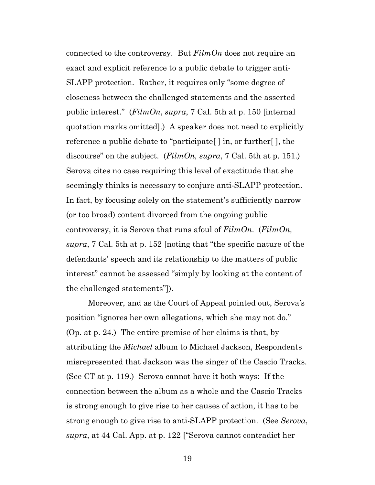connected to the controversy. But *FilmOn* does not require an exact and explicit reference to a public debate to trigger anti-SLAPP protection. Rather, it requires only "some degree of closeness between the challenged statements and the asserted public interest." (*FilmOn*, *supra*, 7 Cal. 5th at p. 150 [internal quotation marks omitted].) A speaker does not need to explicitly reference a public debate to "participate[ ] in, or further[ ], the discourse" on the subject. (*FilmOn, supra*, 7 Cal. 5th at p. 151.) Serova cites no case requiring this level of exactitude that she seemingly thinks is necessary to conjure anti-SLAPP protection. In fact, by focusing solely on the statement's sufficiently narrow (or too broad) content divorced from the ongoing public controversy, it is Serova that runs afoul of *FilmOn*. (*FilmOn, supra*, 7 Cal. 5th at p. 152 [noting that "the specific nature of the defendants' speech and its relationship to the matters of public interest" cannot be assessed "simply by looking at the content of the challenged statements"]).

Moreover, and as the Court of Appeal pointed out, Serova's position "ignores her own allegations, which she may not do." (Op. at p. 24.) The entire premise of her claims is that, by attributing the *Michael* album to Michael Jackson, Respondents misrepresented that Jackson was the singer of the Cascio Tracks. (See CT at p. 119.) Serova cannot have it both ways: If the connection between the album as a whole and the Cascio Tracks is strong enough to give rise to her causes of action, it has to be strong enough to give rise to anti-SLAPP protection. (See *Serova*, *supra*, at 44 Cal. App. at p. 122 ["Serova cannot contradict her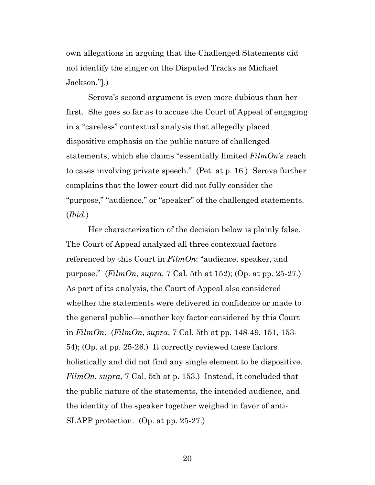own allegations in arguing that the Challenged Statements did not identify the singer on the Disputed Tracks as Michael Jackson."].)

Serova's second argument is even more dubious than her first. She goes so far as to accuse the Court of Appeal of engaging in a "careless" contextual analysis that allegedly placed dispositive emphasis on the public nature of challenged statements, which she claims "essentially limited *FilmOn*'s reach to cases involving private speech." (Pet. at p. 16.) Serova further complains that the lower court did not fully consider the "purpose," "audience," or "speaker" of the challenged statements. (*Ibid.*)

Her characterization of the decision below is plainly false. The Court of Appeal analyzed all three contextual factors referenced by this Court in *FilmOn*: "audience, speaker, and purpose." (*FilmOn*, *supra*, 7 Cal. 5th at 152); (Op. at pp. 25-27.) As part of its analysis, the Court of Appeal also considered whether the statements were delivered in confidence or made to the general public—another key factor considered by this Court in *FilmOn*. (*FilmOn*, *supra*, 7 Cal. 5th at pp. 148-49, 151, 153- 54); (Op. at pp. 25-26.) It correctly reviewed these factors holistically and did not find any single element to be dispositive. *FilmOn*, *supra*, 7 Cal. 5th at p. 153.) Instead, it concluded that the public nature of the statements, the intended audience, and the identity of the speaker together weighed in favor of anti-SLAPP protection. (Op. at pp. 25-27.)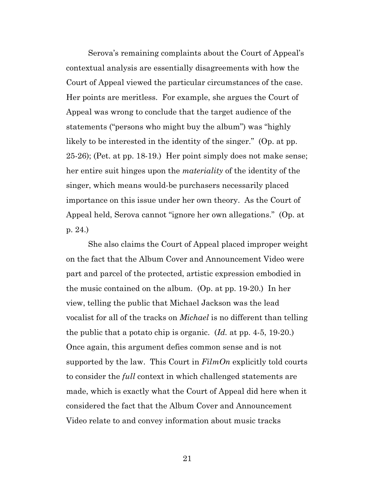Serova's remaining complaints about the Court of Appeal's contextual analysis are essentially disagreements with how the Court of Appeal viewed the particular circumstances of the case. Her points are meritless. For example, she argues the Court of Appeal was wrong to conclude that the target audience of the statements ("persons who might buy the album") was "highly likely to be interested in the identity of the singer." (Op. at pp. 25-26); (Pet. at pp. 18-19.) Her point simply does not make sense; her entire suit hinges upon the *materiality* of the identity of the singer, which means would-be purchasers necessarily placed importance on this issue under her own theory. As the Court of Appeal held, Serova cannot "ignore her own allegations." (Op. at p. 24.)

She also claims the Court of Appeal placed improper weight on the fact that the Album Cover and Announcement Video were part and parcel of the protected, artistic expression embodied in the music contained on the album. (Op. at pp. 19-20.) In her view, telling the public that Michael Jackson was the lead vocalist for all of the tracks on *Michael* is no different than telling the public that a potato chip is organic. (*Id.* at pp. 4-5, 19-20.) Once again, this argument defies common sense and is not supported by the law. This Court in *FilmOn* explicitly told courts to consider the *full* context in which challenged statements are made, which is exactly what the Court of Appeal did here when it considered the fact that the Album Cover and Announcement Video relate to and convey information about music tracks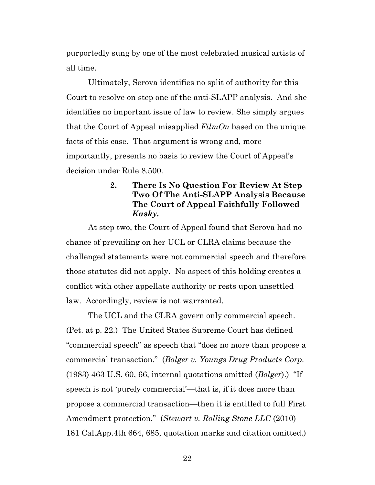purportedly sung by one of the most celebrated musical artists of all time.

Ultimately, Serova identifies no split of authority for this Court to resolve on step one of the anti-SLAPP analysis. And she identifies no important issue of law to review. She simply argues that the Court of Appeal misapplied *FilmOn* based on the unique facts of this case. That argument is wrong and, more importantly, presents no basis to review the Court of Appeal's decision under Rule 8.500.

## **2. There Is No Question For Review At Step Two Of The Anti-SLAPP Analysis Because The Court of Appeal Faithfully Followed**  *Kasky***.**

At step two, the Court of Appeal found that Serova had no chance of prevailing on her UCL or CLRA claims because the challenged statements were not commercial speech and therefore those statutes did not apply. No aspect of this holding creates a conflict with other appellate authority or rests upon unsettled law. Accordingly, review is not warranted.

The UCL and the CLRA govern only commercial speech. (Pet. at p. 22.) The United States Supreme Court has defined "commercial speech" as speech that "does no more than propose a commercial transaction." (*Bolger v. Youngs Drug Products Corp.* (1983) 463 U.S. 60, 66, internal quotations omitted (*Bolger*).) "If speech is not 'purely commercial'—that is, if it does more than propose a commercial transaction—then it is entitled to full First Amendment protection." (*Stewart v. Rolling Stone LLC* (2010) 181 Cal.App.4th 664, 685, quotation marks and citation omitted.)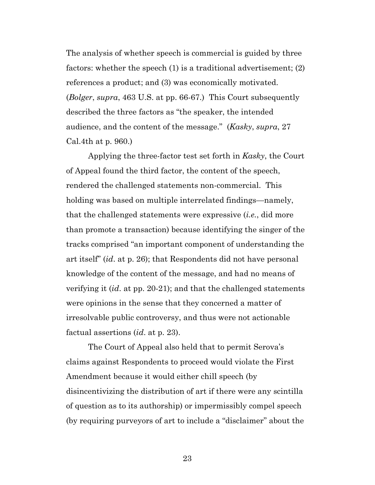The analysis of whether speech is commercial is guided by three factors: whether the speech (1) is a traditional advertisement; (2) references a product; and (3) was economically motivated. (*Bolger*, *supra*, 463 U.S. at pp. 66-67.) This Court subsequently described the three factors as "the speaker, the intended audience, and the content of the message." (*Kasky*, *supra*, 27 Cal.4th at p. 960.)

Applying the three-factor test set forth in *Kasky*, the Court of Appeal found the third factor, the content of the speech, rendered the challenged statements non-commercial. This holding was based on multiple interrelated findings—namely, that the challenged statements were expressive (*i.e.*, did more than promote a transaction) because identifying the singer of the tracks comprised "an important component of understanding the art itself" (*id*. at p. 26); that Respondents did not have personal knowledge of the content of the message, and had no means of verifying it (*id*. at pp. 20-21); and that the challenged statements were opinions in the sense that they concerned a matter of irresolvable public controversy, and thus were not actionable factual assertions (*id*. at p. 23).

The Court of Appeal also held that to permit Serova's claims against Respondents to proceed would violate the First Amendment because it would either chill speech (by disincentivizing the distribution of art if there were any scintilla of question as to its authorship) or impermissibly compel speech (by requiring purveyors of art to include a "disclaimer" about the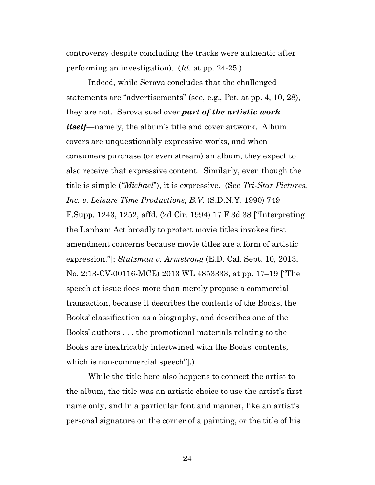controversy despite concluding the tracks were authentic after performing an investigation). (*Id*. at pp. 24-25.)

Indeed, while Serova concludes that the challenged statements are "advertisements" (see, e.g., Pet. at pp. 4, 10, 28), they are not. Serova sued over *part of the artistic work itself*—namely, the album's title and cover artwork. Album covers are unquestionably expressive works, and when consumers purchase (or even stream) an album, they expect to also receive that expressive content. Similarly, even though the title is simple (*"Michael*"), it is expressive. (See *Tri-Star Pictures, Inc. v. Leisure Time Productions, B.V.* (S.D.N.Y. 1990) 749 F.Supp. 1243, 1252, affd. (2d Cir. 1994) 17 F.3d 38 ["Interpreting the Lanham Act broadly to protect movie titles invokes first amendment concerns because movie titles are a form of artistic expression."]; *Stutzman v. Armstrong* (E.D. Cal. Sept. 10, 2013, No. 2:13-CV-00116-MCE) 2013 WL 4853333, at pp. 17–19 ["The speech at issue does more than merely propose a commercial transaction, because it describes the contents of the Books, the Books' classification as a biography, and describes one of the Books' authors . . . the promotional materials relating to the Books are inextricably intertwined with the Books' contents, which is non-commercial speech"].)

While the title here also happens to connect the artist to the album, the title was an artistic choice to use the artist's first name only, and in a particular font and manner, like an artist's personal signature on the corner of a painting, or the title of his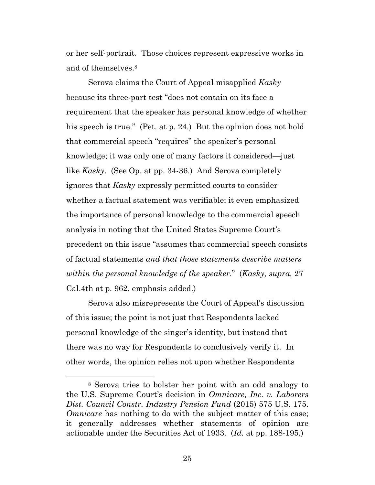or her self-portrait. Those choices represent expressive works in and of themselves.<sup>8</sup>

Serova claims the Court of Appeal misapplied *Kasky* because its three-part test "does not contain on its face a requirement that the speaker has personal knowledge of whether his speech is true." (Pet. at p. 24.) But the opinion does not hold that commercial speech "requires" the speaker's personal knowledge; it was only one of many factors it considered—just like *Kasky*. (See Op. at pp. 34-36.) And Serova completely ignores that *Kasky* expressly permitted courts to consider whether a factual statement was verifiable; it even emphasized the importance of personal knowledge to the commercial speech analysis in noting that the United States Supreme Court's precedent on this issue "assumes that commercial speech consists of factual statements *and that those statements describe matters within the personal knowledge of the speaker*." (*Kasky, supra,* 27 Cal.4th at p. 962, emphasis added.)

Serova also misrepresents the Court of Appeal's discussion of this issue; the point is not just that Respondents lacked personal knowledge of the singer's identity, but instead that there was no way for Respondents to conclusively verify it. In other words, the opinion relies not upon whether Respondents

<sup>8</sup> Serova tries to bolster her point with an odd analogy to the U.S. Supreme Court's decision in *Omnicare, Inc. v. Laborers Dist. Council Constr. Industry Pension Fund* (2015) 575 U.S. 175. *Omnicare* has nothing to do with the subject matter of this case; it generally addresses whether statements of opinion are actionable under the Securities Act of 1933. (*Id.* at pp. 188-195.)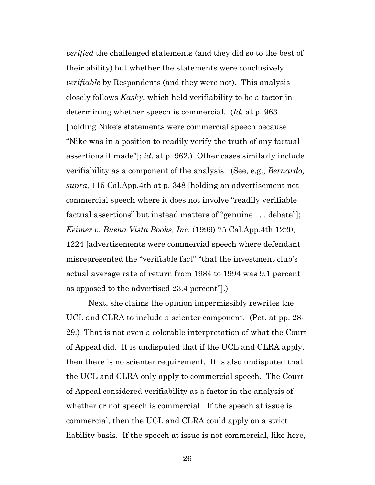*verified* the challenged statements (and they did so to the best of their ability) but whether the statements were conclusively *verifiable* by Respondents (and they were not)*.* This analysis closely follows *Kasky,* which held verifiability to be a factor in determining whether speech is commercial. (*Id.* at p. 963 [holding Nike's statements were commercial speech because "Nike was in a position to readily verify the truth of any factual assertions it made"]; *id*. at p. 962.) Other cases similarly include verifiability as a component of the analysis. (See, e.g., *Bernardo, supra,* 115 Cal.App.4th at p. 348 [holding an advertisement not commercial speech where it does not involve "readily verifiable factual assertions" but instead matters of "genuine . . . debate"]; *Keimer v. Buena Vista Books, Inc.* (1999) 75 Cal.App.4th 1220, 1224 [advertisements were commercial speech where defendant misrepresented the "verifiable fact" "that the investment club's actual average rate of return from 1984 to 1994 was 9.1 percent as opposed to the advertised 23.4 percent"].)

Next, she claims the opinion impermissibly rewrites the UCL and CLRA to include a scienter component. (Pet. at pp. 28- 29.) That is not even a colorable interpretation of what the Court of Appeal did. It is undisputed that if the UCL and CLRA apply, then there is no scienter requirement. It is also undisputed that the UCL and CLRA only apply to commercial speech. The Court of Appeal considered verifiability as a factor in the analysis of whether or not speech is commercial. If the speech at issue is commercial, then the UCL and CLRA could apply on a strict liability basis. If the speech at issue is not commercial, like here,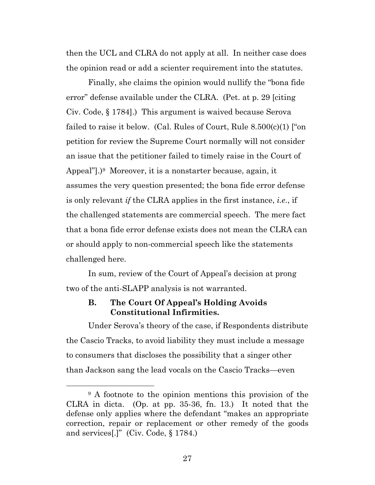then the UCL and CLRA do not apply at all. In neither case does the opinion read or add a scienter requirement into the statutes.

Finally, she claims the opinion would nullify the "bona fide error" defense available under the CLRA. (Pet. at p. 29 [citing Civ. Code, § 1784].) This argument is waived because Serova failed to raise it below. (Cal. Rules of Court, Rule 8.500(c)(1) ["on petition for review the Supreme Court normally will not consider an issue that the petitioner failed to timely raise in the Court of Appeal"].)9 Moreover, it is a nonstarter because, again, it assumes the very question presented; the bona fide error defense is only relevant *if* the CLRA applies in the first instance, *i.e*., if the challenged statements are commercial speech. The mere fact that a bona fide error defense exists does not mean the CLRA can or should apply to non-commercial speech like the statements challenged here.

In sum, review of the Court of Appeal's decision at prong two of the anti-SLAPP analysis is not warranted.

### **B. The Court Of Appeal's Holding Avoids Constitutional Infirmities.**

Under Serova's theory of the case, if Respondents distribute the Cascio Tracks, to avoid liability they must include a message to consumers that discloses the possibility that a singer other than Jackson sang the lead vocals on the Cascio Tracks—even

<sup>9</sup> A footnote to the opinion mentions this provision of the CLRA in dicta. (Op. at pp. 35-36, fn. 13.) It noted that the defense only applies where the defendant "makes an appropriate correction, repair or replacement or other remedy of the goods and services[.]" (Civ. Code, § 1784.)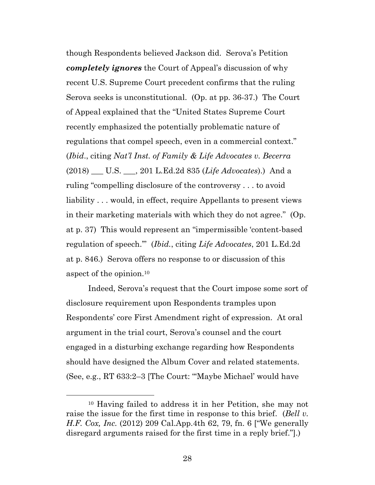though Respondents believed Jackson did. Serova's Petition *completely ignores* the Court of Appeal's discussion of why recent U.S. Supreme Court precedent confirms that the ruling Serova seeks is unconstitutional. (Op. at pp. 36-37.) The Court of Appeal explained that the "United States Supreme Court recently emphasized the potentially problematic nature of regulations that compel speech, even in a commercial context." (*Ibid*., citing *Nat'l Inst. of Family & Life Advocates v. Becerra* (2018) \_\_\_ U.S. \_\_\_, 201 L.Ed.2d 835 (*Life Advocates*).) And a ruling "compelling disclosure of the controversy . . . to avoid liability . . . would, in effect, require Appellants to present views in their marketing materials with which they do not agree." (Op. at p. 37) This would represent an "impermissible 'content-based regulation of speech.'" (*Ibid.*, citing *Life Advocates*, 201 L.Ed.2d at p. 846.) Serova offers no response to or discussion of this aspect of the opinion.<sup>10</sup>

Indeed, Serova's request that the Court impose some sort of disclosure requirement upon Respondents tramples upon Respondents' core First Amendment right of expression. At oral argument in the trial court, Serova's counsel and the court engaged in a disturbing exchange regarding how Respondents should have designed the Album Cover and related statements. (See, e.g., RT 633:2–3 [The Court: "'Maybe Michael' would have

<sup>10</sup> Having failed to address it in her Petition, she may not raise the issue for the first time in response to this brief. (*Bell v. H.F. Cox, Inc.* (2012) 209 Cal.App.4th 62, 79, fn. 6 ["We generally disregard arguments raised for the first time in a reply brief."].)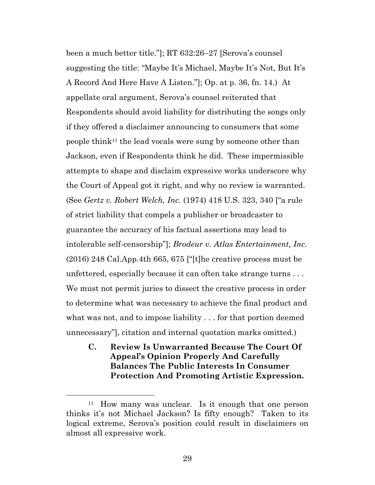been a much better title."]; RT 632:26–27 [Serova's counsel suggesting the title: "Maybe It's Michael, Maybe It's Not, But It's A Record And Here Have A Listen."]; Op. at p. 36, fn. 14.) At appellate oral argument, Serova's counsel reiterated that Respondents should avoid liability for distributing the songs only if they offered a disclaimer announcing to consumers that some people think11 the lead vocals were sung by someone other than Jackson, even if Respondents think he did. These impermissible attempts to shape and disclaim expressive works underscore why the Court of Appeal got it right, and why no review is warranted. (See *Gertz v. Robert Welch, Inc.* (1974) 418 U.S. 323, 340 ["a rule of strict liability that compels a publisher or broadcaster to guarantee the accuracy of his factual assertions may lead to intolerable self-censorship"]; *Brodeur v. Atlas Entertainment, Inc.* (2016) 248 Cal.App.4th 665, 675 ["[t]he creative process must be unfettered, especially because it can often take strange turns . . . We must not permit juries to dissect the creative process in order to determine what was necessary to achieve the final product and what was not, and to impose liability . . . for that portion deemed unnecessary"], citation and internal quotation marks omitted.)

**C. Review Is Unwarranted Because The Court Of Appeal's Opinion Properly And Carefully Balances The Public Interests In Consumer Protection And Promoting Artistic Expression.** 

<sup>11</sup> How many was unclear. Is it enough that one person thinks it's not Michael Jackson? Is fifty enough? Taken to its logical extreme, Serova's position could result in disclaimers on almost all expressive work.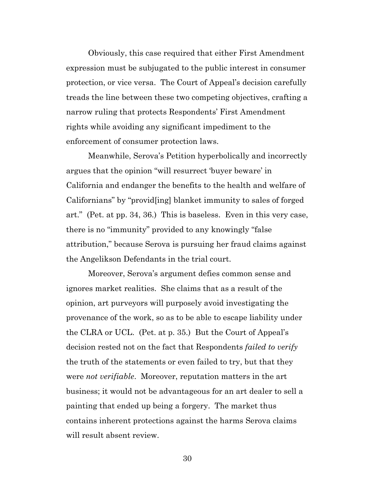Obviously, this case required that either First Amendment expression must be subjugated to the public interest in consumer protection, or vice versa. The Court of Appeal's decision carefully treads the line between these two competing objectives, crafting a narrow ruling that protects Respondents' First Amendment rights while avoiding any significant impediment to the enforcement of consumer protection laws.

Meanwhile, Serova's Petition hyperbolically and incorrectly argues that the opinion "will resurrect 'buyer beware' in California and endanger the benefits to the health and welfare of Californians" by "provid[ing] blanket immunity to sales of forged art." (Pet. at pp. 34, 36.) This is baseless. Even in this very case, there is no "immunity" provided to any knowingly "false attribution," because Serova is pursuing her fraud claims against the Angelikson Defendants in the trial court.

Moreover, Serova's argument defies common sense and ignores market realities. She claims that as a result of the opinion, art purveyors will purposely avoid investigating the provenance of the work, so as to be able to escape liability under the CLRA or UCL. (Pet. at p. 35.) But the Court of Appeal's decision rested not on the fact that Respondents *failed to verify* the truth of the statements or even failed to try, but that they were *not verifiable*. Moreover, reputation matters in the art business; it would not be advantageous for an art dealer to sell a painting that ended up being a forgery. The market thus contains inherent protections against the harms Serova claims will result absent review.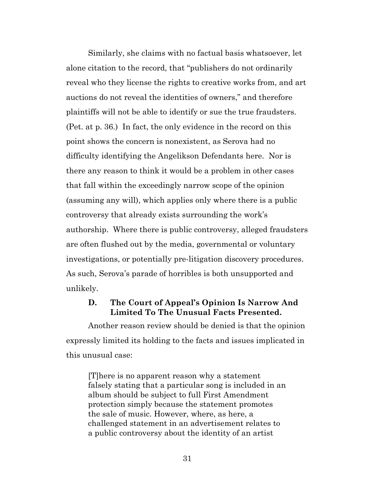Similarly, she claims with no factual basis whatsoever, let alone citation to the record, that "publishers do not ordinarily reveal who they license the rights to creative works from, and art auctions do not reveal the identities of owners," and therefore plaintiffs will not be able to identify or sue the true fraudsters. (Pet. at p. 36.) In fact, the only evidence in the record on this point shows the concern is nonexistent, as Serova had no difficulty identifying the Angelikson Defendants here. Nor is there any reason to think it would be a problem in other cases that fall within the exceedingly narrow scope of the opinion (assuming any will), which applies only where there is a public controversy that already exists surrounding the work's authorship. Where there is public controversy, alleged fraudsters are often flushed out by the media, governmental or voluntary investigations, or potentially pre-litigation discovery procedures. As such, Serova's parade of horribles is both unsupported and unlikely.

### **D. The Court of Appeal's Opinion Is Narrow And Limited To The Unusual Facts Presented.**

Another reason review should be denied is that the opinion expressly limited its holding to the facts and issues implicated in this unusual case:

[T]here is no apparent reason why a statement falsely stating that a particular song is included in an album should be subject to full First Amendment protection simply because the statement promotes the sale of music. However, where, as here, a challenged statement in an advertisement relates to a public controversy about the identity of an artist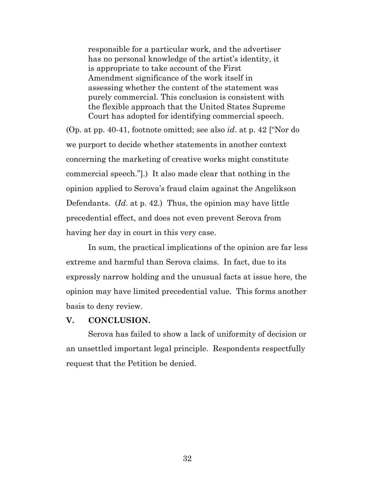responsible for a particular work, and the advertiser has no personal knowledge of the artist's identity, it is appropriate to take account of the First Amendment significance of the work itself in assessing whether the content of the statement was purely commercial. This conclusion is consistent with the flexible approach that the United States Supreme Court has adopted for identifying commercial speech.

(Op. at pp. 40-41, footnote omitted; see also *id*. at p. 42 ["Nor do we purport to decide whether statements in another context concerning the marketing of creative works might constitute commercial speech."].) It also made clear that nothing in the opinion applied to Serova's fraud claim against the Angelikson Defendants. (*Id*. at p. 42.) Thus, the opinion may have little precedential effect, and does not even prevent Serova from having her day in court in this very case.

In sum, the practical implications of the opinion are far less extreme and harmful than Serova claims. In fact, due to its expressly narrow holding and the unusual facts at issue here, the opinion may have limited precedential value. This forms another basis to deny review.

#### **V. CONCLUSION.**

Serova has failed to show a lack of uniformity of decision or an unsettled important legal principle. Respondents respectfully request that the Petition be denied.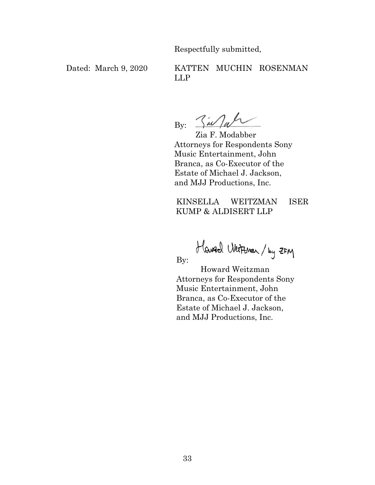Respectfully submitted,

## Dated: March 9, 2020 KATTEN MUCHIN ROSENMAN LLP

By:  $\frac{2}{3}$  at

Zia F. Modabber Attorneys for Respondents Sony Music Entertainment, John Branca, as Co-Executor of the Estate of Michael J. Jackson, and MJJ Productions, Inc.

KINSELLA WEITZMAN ISER KUMP & ALDISERT LLP

Howed Weiterson / by ZFM

By:

 Howard Weitzman Attorneys for Respondents Sony Music Entertainment, John Branca, as Co-Executor of the Estate of Michael J. Jackson, and MJJ Productions, Inc.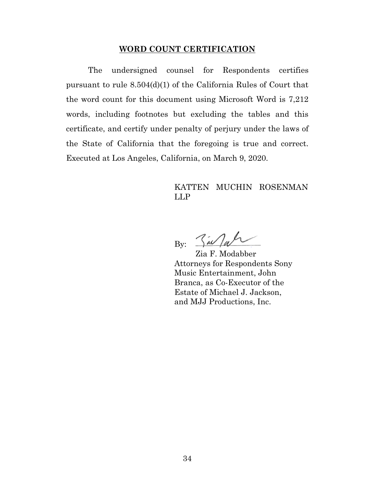#### **WORD COUNT CERTIFICATION**

The undersigned counsel for Respondents certifies pursuant to rule 8.504(d)(1) of the California Rules of Court that the word count for this document using Microsoft Word is 7,212 words, including footnotes but excluding the tables and this certificate, and certify under penalty of perjury under the laws of the State of California that the foregoing is true and correct. Executed at Los Angeles, California, on March 9, 2020.

### KATTEN MUCHIN ROSENMAN LLP

 $By: Za/ab$ 

Zia F. Modabber Attorneys for Respondents Sony Music Entertainment, John Branca, as Co-Executor of the Estate of Michael J. Jackson, and MJJ Productions, Inc.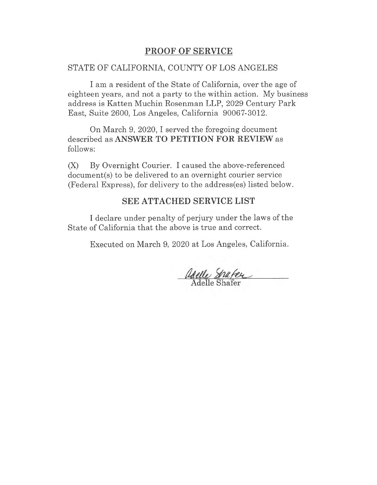# PROOF OF SERVICE **PROOF OF SERVICE**

## STATE OF CALIFORNIA, COUNTY OF LOS ANGELES STATE OF CALIFORNIA, COUNTY OF LOS ANGELES

I am a resident of the State of California, over the age of I am a resident of the State of California, over the age of eighteen years, and not a party to the within action. My business eighteen years, and not a party to the within action. My business address is Katten Muchin Rosenman LLP, 2029 Century Park address is Katten Muchin Rosenman LLP, 2029 Century Park East, Suite 2600, Los Angeles, California 90067-3012. East, Suite 2600, Los Angeles, California 90067-3012.

On March 9, 2020, I served the foregoing document On March 9, 2020, I served the foregoing document described as ANSWER TO PETITION FOR REVIEW as described as **ANSWER TO PETITION FOR REVIEW** as follows: follows:

(X) By Overnight Courier. I caused the above-referenced (X) By Overnight Courier. I caused the above-referenced document(s) to be delivered to an overnight courier service document(s) to be delivered to an overnight courier service (Federal Express), for delivery to the address(es) listed below. (Federal Express), for delivery to the address(es) listed below.

# SEE ATTACHED SERVICE LIST **SEE ATTACHED SERVICE LIST**

I declare under penalty of perjury under the laws of the I declare under penalty of perjury under the laws of the State of California that the above is true and correct. State of California that the above is true and correct.

Executed on March 9, 2020 at Los Angeles, California. Executed on March 9, 2020 at Los Angeles, California.

adelle Shafer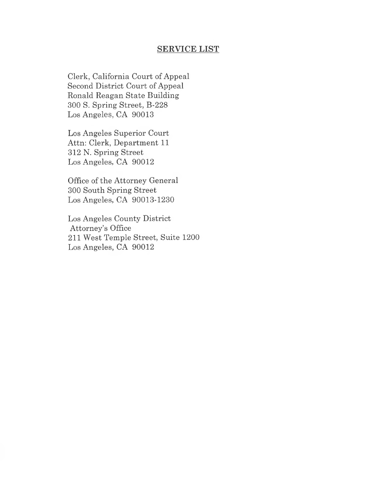# SERVICE LIST **SERVICE LIST**

Clerk, California Court of Appeal Clerk, California Court of Appeal Second District Court of Appeal Second District Court of Appeal Ronald Reagan State Building Ronald Reagan State Building 300 S. Spring Street, B-228 300 S. Spring Street, B-228 Los Angeles, CA 90013 Los Angeles, CA 90013

Los Angeles Superior Court Los Angeles Superior Court Attn: Clerk, Department 11 Attn: Clerk, Department 11 312 N. Spring Street 312 N. Spring Street Los Angeles, CA 90012 Los Angeles, CA 90012

Office of the Attorney General Office of the Attorney General 300 South Spring Street 300 South Spring Street Los Angeles, CA 90013-1230 Los Angeles, CA 90013-1230

Los Angeles County District Los Angeles County District Attorney's Office Attorney's Office 211 West Temple Street, Suite 1200 211 West Temple Street, Suite 1200 Los Angeles, CA 90012 Los Angeles, CA 90012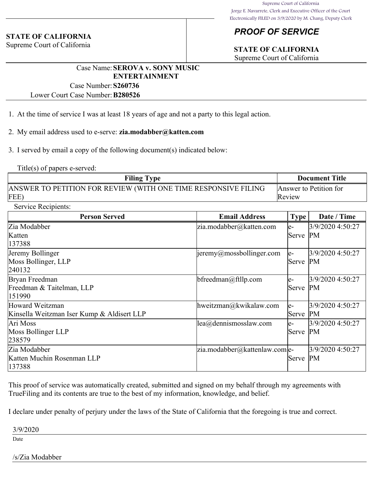#### **STATE OF CALIFORNIA**

Supreme Court of California

# *PROOF OF SERVICE*

# **STATE OF CALIFORNIA**

Supreme Court of California

### Case Name:**SEROVA v. SONY MUSIC ENTERTAINMENT**

Case Number:**S260736**

Lower Court Case Number:**B280526**

- 1. At the time of service I was at least 18 years of age and not a party to this legal action.
- 2. My email address used to e-serve: **zia.modabber@katten.com**

3. I served by email a copy of the following document(s) indicated below:

Title(s) of papers e-served:

| <b>Filing Type</b>                                             | <b>Document Title</b>  |  |
|----------------------------------------------------------------|------------------------|--|
| ANSWER TO PETITION FOR REVIEW (WITH ONE TIME RESPONSIVE FILING | Answer to Petition for |  |
| FEE)                                                           | Review                 |  |

Service Recipients:

| <b>Person Served</b>                       | <b>Email Address</b>                      | <b>Type</b> | Date / Time      |
|--------------------------------------------|-------------------------------------------|-------------|------------------|
| Zia Modabber                               | $ zia$ .modabber@katten.com               | le-         | 3/9/2020 4:50:27 |
| Katten                                     |                                           | Serve       | PM               |
| 137388                                     |                                           |             |                  |
| Jeremy Bollinger                           | $\parallel$ jeremy@mossbollinger.com      | le-         | 3/9/2020 4:50:27 |
| Moss Bollinger, LLP                        |                                           | Serve       | PM               |
| 240132                                     |                                           |             |                  |
| Bryan Freedman                             | bfreedman@ftllp.com                       | e-          | 3/9/2020 4:50:27 |
| Freedman & Taitelman, LLP                  |                                           | Serve       | PM               |
| 151990                                     |                                           |             |                  |
| Howard Weitzman                            | hweitzman@kwikalaw.com                    | le-         | 3/9/2020 4:50:27 |
| Kinsella Weitzman Iser Kump & Aldisert LLP |                                           | Serve       | PM               |
| Ari Moss                                   | $\parallel$ ea $\omega$ dennismosslaw.com | e-          | 3/9/2020 4:50:27 |
| Moss Bollinger LLP                         |                                           | Serve       | PM               |
| 238579                                     |                                           |             |                  |
| Zia Modabber                               | $ zia$ .modabber@kattenlaw.com e-         |             | 3/9/2020 4:50:27 |
| Katten Muchin Rosenman LLP                 |                                           | Serve       | PM               |
| 137388                                     |                                           |             |                  |

This proof of service was automatically created, submitted and signed on my behalf through my agreements with TrueFiling and its contents are true to the best of my information, knowledge, and belief.

I declare under penalty of perjury under the laws of the State of California that the foregoing is true and correct.

3/9/2020

Date

#### /s/Zia Modabber